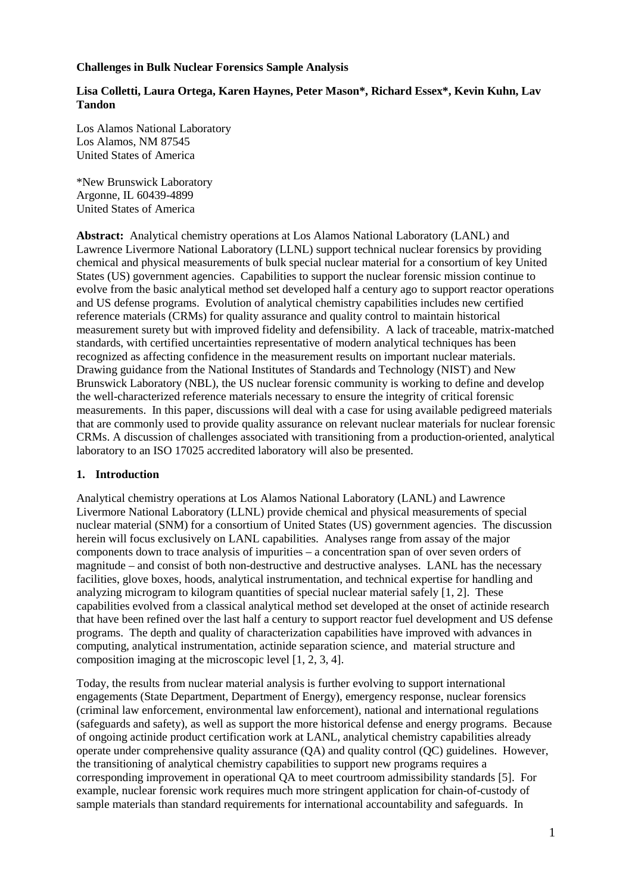### **Challenges in Bulk Nuclear Forensics Sample Analysis**

### **Lisa Colletti, Laura Ortega, Karen Haynes, Peter Mason\*, Richard Essex\*, Kevin Kuhn, Lav Tandon**

Los Alamos National Laboratory Los Alamos, NM 87545 United States of America

\*New Brunswick Laboratory Argonne, IL 60439-4899 United States of America

**Abstract:** Analytical chemistry operations at Los Alamos National Laboratory (LANL) and Lawrence Livermore National Laboratory (LLNL) support technical nuclear forensics by providing chemical and physical measurements of bulk special nuclear material for a consortium of key United States (US) government agencies. Capabilities to support the nuclear forensic mission continue to evolve from the basic analytical method set developed half a century ago to support reactor operations and US defense programs. Evolution of analytical chemistry capabilities includes new certified reference materials (CRMs) for quality assurance and quality control to maintain historical measurement surety but with improved fidelity and defensibility. A lack of traceable, matrix-matched standards, with certified uncertainties representative of modern analytical techniques has been recognized as affecting confidence in the measurement results on important nuclear materials. Drawing guidance from the National Institutes of Standards and Technology (NIST) and New Brunswick Laboratory (NBL), the US nuclear forensic community is working to define and develop the well-characterized reference materials necessary to ensure the integrity of critical forensic measurements. In this paper, discussions will deal with a case for using available pedigreed materials that are commonly used to provide quality assurance on relevant nuclear materials for nuclear forensic CRMs. A discussion of challenges associated with transitioning from a production-oriented, analytical laboratory to an ISO 17025 accredited laboratory will also be presented.

### **1. Introduction**

Analytical chemistry operations at Los Alamos National Laboratory (LANL) and Lawrence Livermore National Laboratory (LLNL) provide chemical and physical measurements of special nuclear material (SNM) for a consortium of United States (US) government agencies. The discussion herein will focus exclusively on LANL capabilities. Analyses range from assay of the major components down to trace analysis of impurities – a concentration span of over seven orders of magnitude – and consist of both non-destructive and destructive analyses. LANL has the necessary facilities, glove boxes, hoods, analytical instrumentation, and technical expertise for handling and analyzing microgram to kilogram quantities of special nuclear material safely [1, 2]. These capabilities evolved from a classical analytical method set developed at the onset of actinide research that have been refined over the last half a century to support reactor fuel development and US defense programs. The depth and quality of characterization capabilities have improved with advances in computing, analytical instrumentation, actinide separation science, and material structure and composition imaging at the microscopic level [1, 2, 3, 4].

Today, the results from nuclear material analysis is further evolving to support international engagements (State Department, Department of Energy), emergency response, nuclear forensics (criminal law enforcement, environmental law enforcement), national and international regulations (safeguards and safety), as well as support the more historical defense and energy programs. Because of ongoing actinide product certification work at LANL, analytical chemistry capabilities already operate under comprehensive quality assurance (QA) and quality control (QC) guidelines. However, the transitioning of analytical chemistry capabilities to support new programs requires a corresponding improvement in operational QA to meet courtroom admissibility standards [5]. For example, nuclear forensic work requires much more stringent application for chain-of-custody of sample materials than standard requirements for international accountability and safeguards. In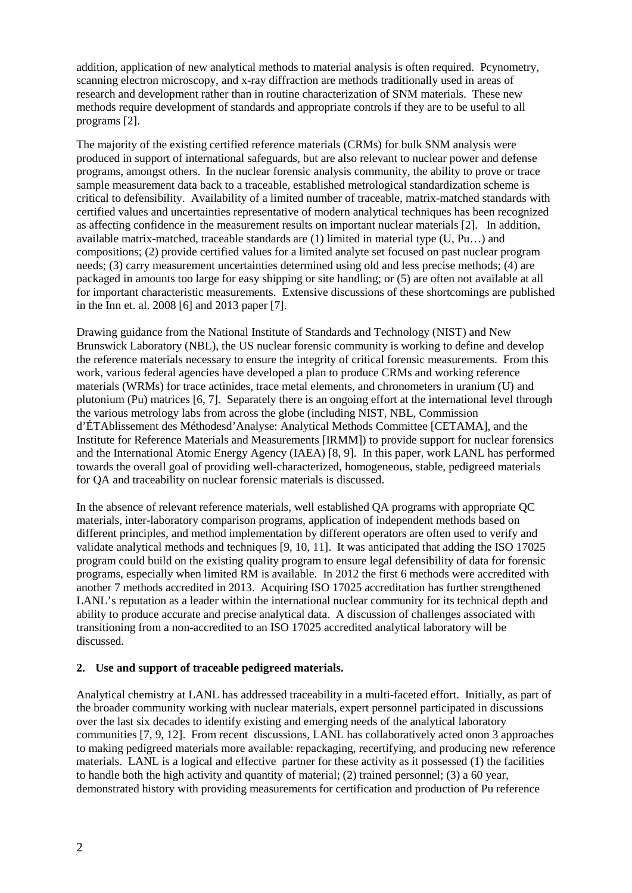addition, application of new analytical methods to material analysis is often required. Pcynometry, scanning electron microscopy, and x-ray diffraction are methods traditionally used in areas of research and development rather than in routine characterization of SNM materials. These new methods require development of standards and appropriate controls if they are to be useful to all programs [2].

The majority of the existing certified reference materials (CRMs) for bulk SNM analysis were produced in support of international safeguards, but are also relevant to nuclear power and defense programs, amongst others. In the nuclear forensic analysis community, the ability to prove or trace sample measurement data back to a traceable, established metrological standardization scheme is critical to defensibility. Availability of a limited number of traceable, matrix-matched standards with certified values and uncertainties representative of modern analytical techniques has been recognized as affecting confidence in the measurement results on important nuclear materials [2]. In addition, available matrix-matched, traceable standards are (1) limited in material type (U, Pu…) and compositions; (2) provide certified values for a limited analyte set focused on past nuclear program needs; (3) carry measurement uncertainties determined using old and less precise methods; (4) are packaged in amounts too large for easy shipping or site handling; or (5) are often not available at all for important characteristic measurements. Extensive discussions of these shortcomings are published in the Inn et. al. 2008 [6] and 2013 paper [7].

Drawing guidance from the National Institute of Standards and Technology (NIST) and New Brunswick Laboratory (NBL), the US nuclear forensic community is working to define and develop the reference materials necessary to ensure the integrity of critical forensic measurements. From this work, various federal agencies have developed a plan to produce CRMs and working reference materials (WRMs) for trace actinides, trace metal elements, and chronometers in uranium (U) and plutonium (Pu) matrices [6, 7]. Separately there is an ongoing effort at the international level through the various metrology labs from across the globe (including NIST, NBL, Commission d'ÉTAblissement des Méthodesd'Analyse: Analytical Methods Committee [CETAMA], and the Institute for Reference Materials and Measurements [IRMM]) to provide support for nuclear forensics and the International Atomic Energy Agency (IAEA) [8, 9]. In this paper, work LANL has performed towards the overall goal of providing well-characterized, homogeneous, stable, pedigreed materials for QA and traceability on nuclear forensic materials is discussed.

In the absence of relevant reference materials, well established QA programs with appropriate QC materials, inter-laboratory comparison programs, application of independent methods based on different principles, and method implementation by different operators are often used to verify and validate analytical methods and techniques [9, 10, 11]. It was anticipated that adding the ISO 17025 program could build on the existing quality program to ensure legal defensibility of data for forensic programs, especially when limited RM is available. In 2012 the first 6 methods were accredited with another 7 methods accredited in 2013. Acquiring ISO 17025 accreditation has further strengthened LANL's reputation as a leader within the international nuclear community for its technical depth and ability to produce accurate and precise analytical data. A discussion of challenges associated with transitioning from a non-accredited to an ISO 17025 accredited analytical laboratory will be discussed.

### **2. Use and support of traceable pedigreed materials.**

Analytical chemistry at LANL has addressed traceability in a multi-faceted effort. Initially, as part of the broader community working with nuclear materials, expert personnel participated in discussions over the last six decades to identify existing and emerging needs of the analytical laboratory communities [7, 9, 12]. From recent discussions, LANL has collaboratively acted onon 3 approaches to making pedigreed materials more available: repackaging, recertifying, and producing new reference materials. LANL is a logical and effective partner for these activity as it possessed (1) the facilities to handle both the high activity and quantity of material; (2) trained personnel; (3) a 60 year, demonstrated history with providing measurements for certification and production of Pu reference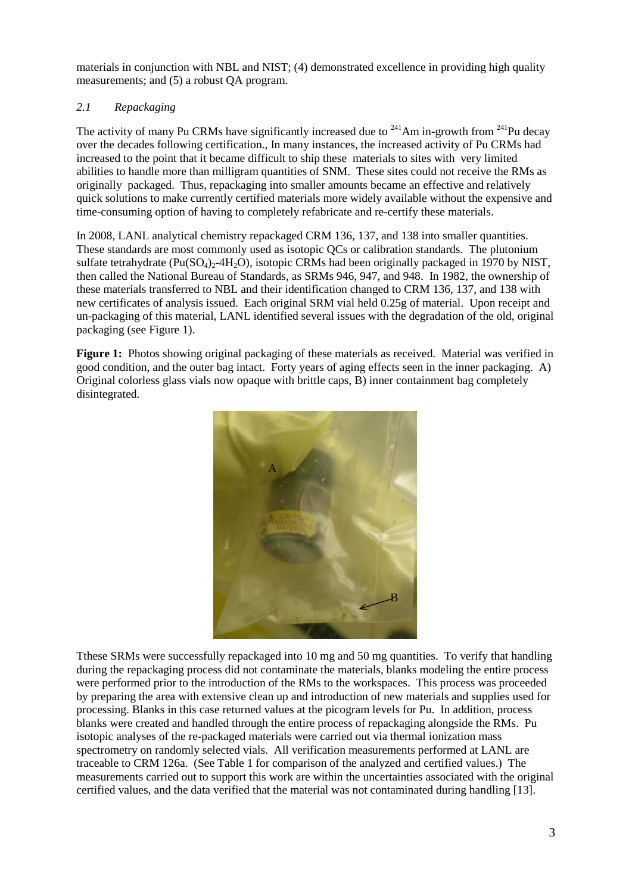materials in conjunction with NBL and NIST; (4) demonstrated excellence in providing high quality measurements; and (5) a robust QA program.

# *2.1 Repackaging*

The activity of many Pu CRMs have significantly increased due to  $^{241}$ Am in-growth from  $^{241}$ Pu decay over the decades following certification., In many instances, the increased activity of Pu CRMs had increased to the point that it became difficult to ship these materials to sites with very limited abilities to handle more than milligram quantities of SNM. These sites could not receive the RMs as originally packaged. Thus, repackaging into smaller amounts became an effective and relatively quick solutions to make currently certified materials more widely available without the expensive and time-consuming option of having to completely refabricate and re-certify these materials.

In 2008, LANL analytical chemistry repackaged CRM 136, 137, and 138 into smaller quantities. These standards are most commonly used as isotopic QCs or calibration standards. The plutonium sulfate tetrahydrate ( $Pu(SO_4)_{2}$ -4H<sub>2</sub>O), isotopic CRMs had been originally packaged in 1970 by NIST, then called the National Bureau of Standards, as SRMs 946, 947, and 948. In 1982, the ownership of these materials transferred to NBL and their identification changed to CRM 136, 137, and 138 with new certificates of analysis issued. Each original SRM vial held 0.25g of material. Upon receipt and un-packaging of this material, LANL identified several issues with the degradation of the old, original packaging (see Figure 1).

**Figure 1:** Photos showing original packaging of these materials as received. Material was verified in good condition, and the outer bag intact. Forty years of aging effects seen in the inner packaging. A) Original colorless glass vials now opaque with brittle caps, B) inner containment bag completely disintegrated.



Tthese SRMs were successfully repackaged into 10 mg and 50 mg quantities. To verify that handling during the repackaging process did not contaminate the materials, blanks modeling the entire process were performed prior to the introduction of the RMs to the workspaces. This process was proceeded by preparing the area with extensive clean up and introduction of new materials and supplies used for processing. Blanks in this case returned values at the picogram levels for Pu. In addition, process blanks were created and handled through the entire process of repackaging alongside the RMs. Pu isotopic analyses of the re-packaged materials were carried out via thermal ionization mass spectrometry on randomly selected vials. All verification measurements performed at LANL are traceable to CRM 126a. (See Table 1 for comparison of the analyzed and certified values.) The measurements carried out to support this work are within the uncertainties associated with the original certified values, and the data verified that the material was not contaminated during handling [13].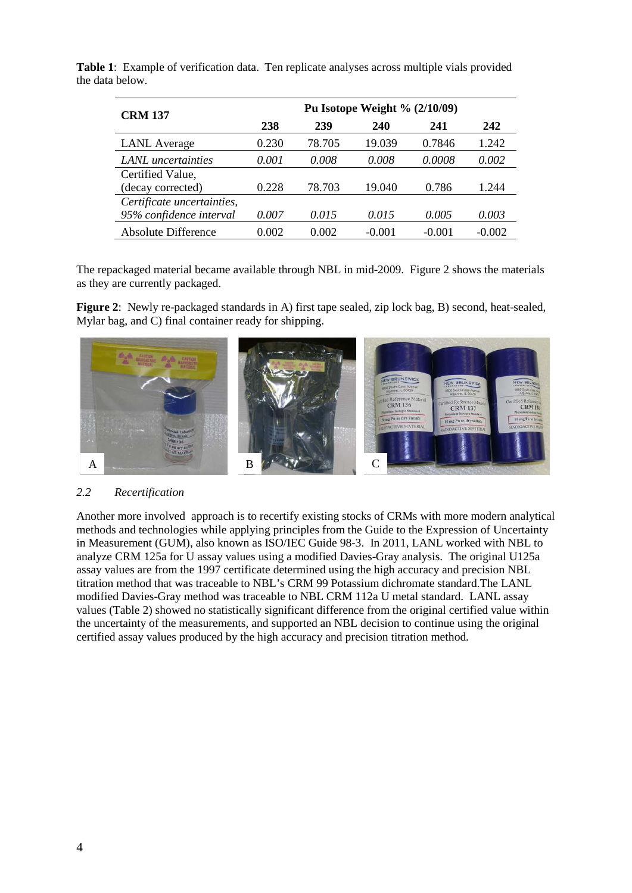| <b>CRM 137</b>             | Pu Isotope Weight % $(2/10/09)$ |        |          |          |          |  |
|----------------------------|---------------------------------|--------|----------|----------|----------|--|
|                            | 238                             | 239    | 240      | 241      | 242      |  |
| <b>LANL</b> Average        | 0.230                           | 78.705 | 19.039   | 0.7846   | 1.242    |  |
| LANL uncertainties         | 0.001                           | 0.008  | 0.008    | 0.0008   | 0.002    |  |
| Certified Value,           |                                 |        |          |          |          |  |
| (decay corrected)          | 0.228                           | 78.703 | 19.040   | 0.786    | 1.244    |  |
| Certificate uncertainties, |                                 |        |          |          |          |  |
| 95% confidence interval    | 0.007                           | 0.015  | 0.015    | 0.005    | 0.003    |  |
| <b>Absolute Difference</b> | 0.002                           | 0.002  | $-0.001$ | $-0.001$ | $-0.002$ |  |

**Table 1**: Example of verification data. Ten replicate analyses across multiple vials provided the data below.

The repackaged material became available through NBL in mid-2009. Figure 2 shows the materials as they are currently packaged.

**Figure 2**: Newly re-packaged standards in A) first tape sealed, zip lock bag, B) second, heat-sealed, Mylar bag, and C) final container ready for shipping.



### *2.2 Recertification*

Another more involved approach is to recertify existing stocks of CRMs with more modern analytical methods and technologies while applying principles from the Guide to the Expression of Uncertainty in Measurement (GUM), also known as ISO/IEC Guide 98-3. In 2011, LANL worked with NBL to analyze CRM 125a for U assay values using a modified Davies-Gray analysis. The original U125a assay values are from the 1997 certificate determined using the high accuracy and precision NBL titration method that was traceable to NBL's CRM 99 Potassium dichromate standard.The LANL modified Davies-Gray method was traceable to NBL CRM 112a U metal standard. LANL assay values (Table 2) showed no statistically significant difference from the original certified value within the uncertainty of the measurements, and supported an NBL decision to continue using the original certified assay values produced by the high accuracy and precision titration method.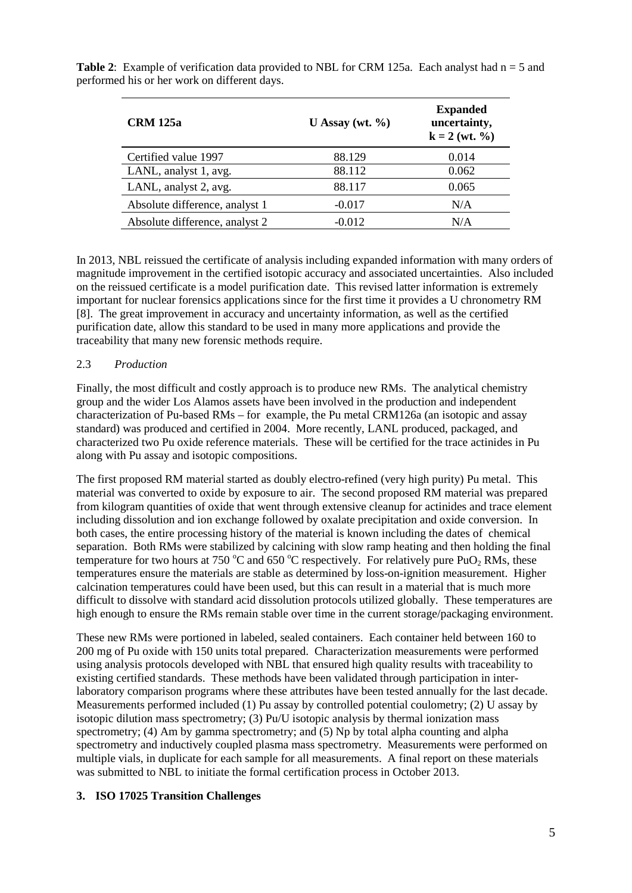| <b>CRM</b> 125a                | U Assay (wt. $\%$ ) | <b>Expanded</b><br>uncertainty,<br>$k = 2 (wt. %)$ |
|--------------------------------|---------------------|----------------------------------------------------|
| Certified value 1997           | 88.129              | 0.014                                              |
| LANL, analyst 1, avg.          | 88.112              | 0.062                                              |
| LANL, analyst 2, avg.          | 88.117              | 0.065                                              |
| Absolute difference, analyst 1 | $-0.017$            | N/A                                                |
| Absolute difference, analyst 2 | $-0.012$            | N/A                                                |

**Table 2:** Example of verification data provided to NBL for CRM 125a. Each analyst had  $n = 5$  and performed his or her work on different days.

In 2013, NBL reissued the certificate of analysis including expanded information with many orders of magnitude improvement in the certified isotopic accuracy and associated uncertainties. Also included on the reissued certificate is a model purification date. This revised latter information is extremely important for nuclear forensics applications since for the first time it provides a U chronometry RM [8]. The great improvement in accuracy and uncertainty information, as well as the certified purification date, allow this standard to be used in many more applications and provide the traceability that many new forensic methods require.

### 2.3 *Production*

Finally, the most difficult and costly approach is to produce new RMs. The analytical chemistry group and the wider Los Alamos assets have been involved in the production and independent characterization of Pu-based RMs – for example, the Pu metal CRM126a (an isotopic and assay standard) was produced and certified in 2004. More recently, LANL produced, packaged, and characterized two Pu oxide reference materials. These will be certified for the trace actinides in Pu along with Pu assay and isotopic compositions.

The first proposed RM material started as doubly electro-refined (very high purity) Pu metal. This material was converted to oxide by exposure to air. The second proposed RM material was prepared from kilogram quantities of oxide that went through extensive cleanup for actinides and trace element including dissolution and ion exchange followed by oxalate precipitation and oxide conversion. In both cases, the entire processing history of the material is known including the dates of chemical separation. Both RMs were stabilized by calcining with slow ramp heating and then holding the final temperature for two hours at 750 °C and 650 °C respectively. For relatively pure  $PuO<sub>2</sub> RMs$ , these temperatures ensure the materials are stable as determined by loss-on-ignition measurement. Higher calcination temperatures could have been used, but this can result in a material that is much more difficult to dissolve with standard acid dissolution protocols utilized globally. These temperatures are high enough to ensure the RMs remain stable over time in the current storage/packaging environment.

These new RMs were portioned in labeled, sealed containers. Each container held between 160 to 200 mg of Pu oxide with 150 units total prepared. Characterization measurements were performed using analysis protocols developed with NBL that ensured high quality results with traceability to existing certified standards. These methods have been validated through participation in interlaboratory comparison programs where these attributes have been tested annually for the last decade. Measurements performed included (1) Pu assay by controlled potential coulometry; (2) U assay by isotopic dilution mass spectrometry; (3) Pu/U isotopic analysis by thermal ionization mass spectrometry; (4) Am by gamma spectrometry; and (5) Np by total alpha counting and alpha spectrometry and inductively coupled plasma mass spectrometry. Measurements were performed on multiple vials, in duplicate for each sample for all measurements. A final report on these materials was submitted to NBL to initiate the formal certification process in October 2013.

## **3. ISO 17025 Transition Challenges**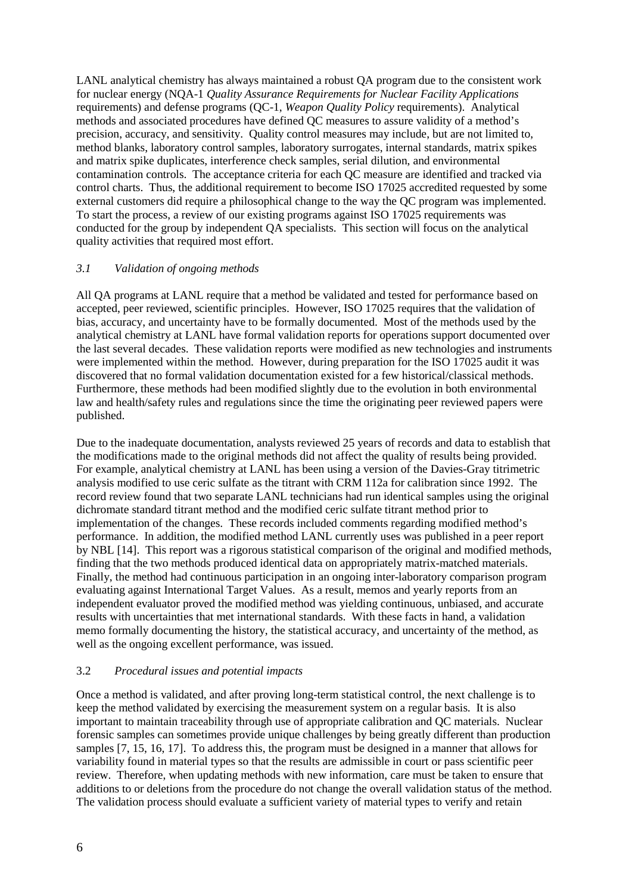LANL analytical chemistry has always maintained a robust QA program due to the consistent work for nuclear energy (NQA-1 *Quality Assurance Requirements for Nuclear Facility Applications* requirements) and defense programs (QC-1, *Weapon Quality Policy* requirements). Analytical methods and associated procedures have defined QC measures to assure validity of a method's precision, accuracy, and sensitivity. Quality control measures may include, but are not limited to, method blanks, laboratory control samples, laboratory surrogates, internal standards, matrix spikes and matrix spike duplicates, interference check samples, serial dilution, and environmental contamination controls. The acceptance criteria for each QC measure are identified and tracked via control charts. Thus, the additional requirement to become ISO 17025 accredited requested by some external customers did require a philosophical change to the way the QC program was implemented. To start the process, a review of our existing programs against ISO 17025 requirements was conducted for the group by independent QA specialists. This section will focus on the analytical quality activities that required most effort.

### *3.1 Validation of ongoing methods*

All QA programs at LANL require that a method be validated and tested for performance based on accepted, peer reviewed, scientific principles. However, ISO 17025 requires that the validation of bias, accuracy, and uncertainty have to be formally documented. Most of the methods used by the analytical chemistry at LANL have formal validation reports for operations support documented over the last several decades. These validation reports were modified as new technologies and instruments were implemented within the method. However, during preparation for the ISO 17025 audit it was discovered that no formal validation documentation existed for a few historical/classical methods. Furthermore, these methods had been modified slightly due to the evolution in both environmental law and health/safety rules and regulations since the time the originating peer reviewed papers were published.

Due to the inadequate documentation, analysts reviewed 25 years of records and data to establish that the modifications made to the original methods did not affect the quality of results being provided. For example, analytical chemistry at LANL has been using a version of the Davies-Gray titrimetric analysis modified to use ceric sulfate as the titrant with CRM 112a for calibration since 1992. The record review found that two separate LANL technicians had run identical samples using the original dichromate standard titrant method and the modified ceric sulfate titrant method prior to implementation of the changes. These records included comments regarding modified method's performance. In addition, the modified method LANL currently uses was published in a peer report by NBL [14]. This report was a rigorous statistical comparison of the original and modified methods, finding that the two methods produced identical data on appropriately matrix-matched materials. Finally, the method had continuous participation in an ongoing inter-laboratory comparison program evaluating against International Target Values. As a result, memos and yearly reports from an independent evaluator proved the modified method was yielding continuous, unbiased, and accurate results with uncertainties that met international standards. With these facts in hand, a validation memo formally documenting the history, the statistical accuracy, and uncertainty of the method, as well as the ongoing excellent performance, was issued.

### 3.2 *Procedural issues and potential impacts*

Once a method is validated, and after proving long-term statistical control, the next challenge is to keep the method validated by exercising the measurement system on a regular basis. It is also important to maintain traceability through use of appropriate calibration and QC materials. Nuclear forensic samples can sometimes provide unique challenges by being greatly different than production samples [7, 15, 16, 17]. To address this, the program must be designed in a manner that allows for variability found in material types so that the results are admissible in court or pass scientific peer review. Therefore, when updating methods with new information, care must be taken to ensure that additions to or deletions from the procedure do not change the overall validation status of the method. The validation process should evaluate a sufficient variety of material types to verify and retain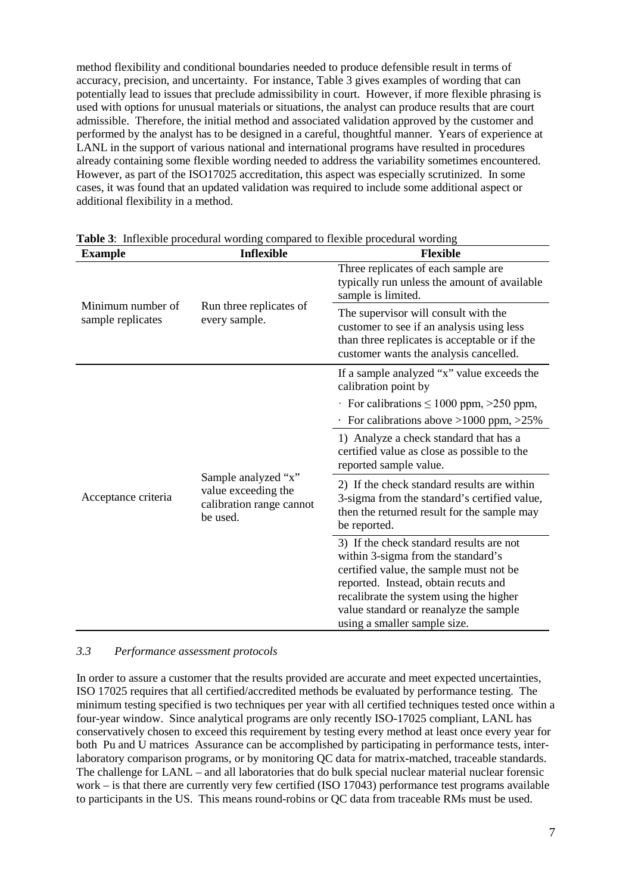method flexibility and conditional boundaries needed to produce defensible result in terms of accuracy, precision, and uncertainty. For instance, Table 3 gives examples of wording that can potentially lead to issues that preclude admissibility in court. However, if more flexible phrasing is used with options for unusual materials or situations, the analyst can produce results that are court admissible. Therefore, the initial method and associated validation approved by the customer and performed by the analyst has to be designed in a careful, thoughtful manner. Years of experience at LANL in the support of various national and international programs have resulted in procedures already containing some flexible wording needed to address the variability sometimes encountered. However, as part of the ISO17025 accreditation, this aspect was especially scrutinized. In some cases, it was found that an updated validation was required to include some additional aspect or additional flexibility in a method.

| <b>Example</b>                         | <b>Inflexible</b>                                                                  | <b>Flexible</b>                                                                                                                                                                                                                                        |  |  |
|----------------------------------------|------------------------------------------------------------------------------------|--------------------------------------------------------------------------------------------------------------------------------------------------------------------------------------------------------------------------------------------------------|--|--|
|                                        |                                                                                    | Three replicates of each sample are<br>typically run unless the amount of available<br>sample is limited.                                                                                                                                              |  |  |
| Minimum number of<br>sample replicates | Run three replicates of<br>every sample.                                           | The supervisor will consult with the<br>customer to see if an analysis using less<br>than three replicates is acceptable or if the<br>customer wants the analysis cancelled.                                                                           |  |  |
| Acceptance criteria                    |                                                                                    | If a sample analyzed "x" value exceeds the<br>calibration point by                                                                                                                                                                                     |  |  |
|                                        |                                                                                    | For calibrations $\leq 1000$ ppm, $>250$ ppm,                                                                                                                                                                                                          |  |  |
|                                        | Sample analyzed "x"<br>value exceeding the<br>calibration range cannot<br>be used. | For calibrations above $>1000$ ppm, $>25\%$                                                                                                                                                                                                            |  |  |
|                                        |                                                                                    | 1) Analyze a check standard that has a<br>certified value as close as possible to the<br>reported sample value.                                                                                                                                        |  |  |
|                                        |                                                                                    | 2) If the check standard results are within<br>3-sigma from the standard's certified value,<br>then the returned result for the sample may<br>be reported.                                                                                             |  |  |
|                                        |                                                                                    | 3) If the check standard results are not<br>within 3-sigma from the standard's<br>certified value, the sample must not be<br>reported. Instead, obtain recuts and<br>recalibrate the system using the higher<br>value standard or reanalyze the sample |  |  |
|                                        |                                                                                    | using a smaller sample size.                                                                                                                                                                                                                           |  |  |

**Table 3**: Inflexible procedural wording compared to flexible procedural wording

## *3.3 Performance assessment protocols*

In order to assure a customer that the results provided are accurate and meet expected uncertainties, ISO 17025 requires that all certified/accredited methods be evaluated by performance testing. The minimum testing specified is two techniques per year with all certified techniques tested once within a four-year window. Since analytical programs are only recently ISO-17025 compliant, LANL has conservatively chosen to exceed this requirement by testing every method at least once every year for both Pu and U matrices Assurance can be accomplished by participating in performance tests, interlaboratory comparison programs, or by monitoring QC data for matrix-matched, traceable standards. The challenge for LANL – and all laboratories that do bulk special nuclear material nuclear forensic work – is that there are currently very few certified (ISO 17043) performance test programs available to participants in the US. This means round-robins or QC data from traceable RMs must be used.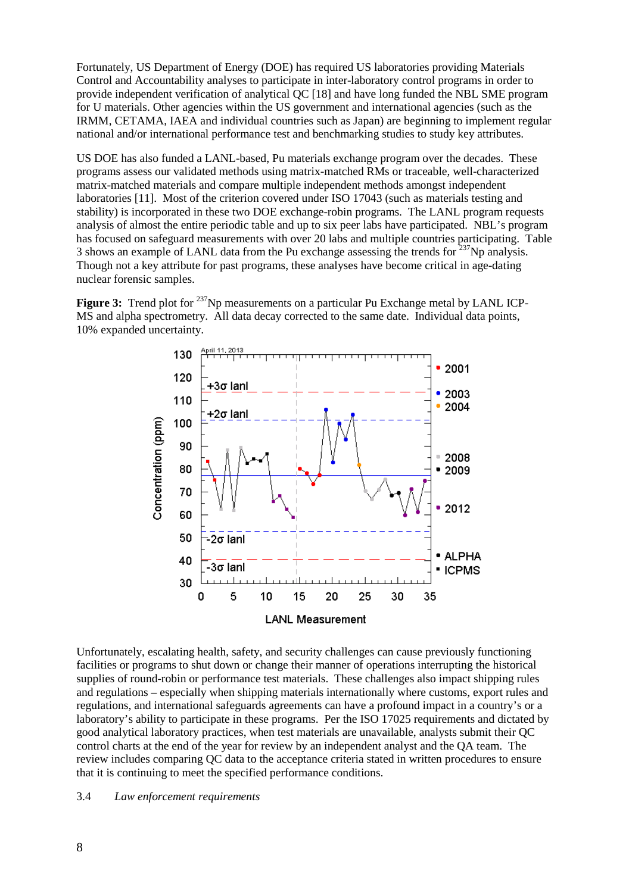Fortunately, US Department of Energy (DOE) has required US laboratories providing Materials Control and Accountability analyses to participate in inter-laboratory control programs in order to provide independent verification of analytical QC [18] and have long funded the NBL SME program for U materials. Other agencies within the US government and international agencies (such as the IRMM, CETAMA, IAEA and individual countries such as Japan) are beginning to implement regular national and/or international performance test and benchmarking studies to study key attributes.

US DOE has also funded a LANL-based, Pu materials exchange program over the decades. These programs assess our validated methods using matrix-matched RMs or traceable, well-characterized matrix-matched materials and compare multiple independent methods amongst independent laboratories [11]. Most of the criterion covered under ISO 17043 (such as materials testing and stability) is incorporated in these two DOE exchange-robin programs. The LANL program requests analysis of almost the entire periodic table and up to six peer labs have participated. NBL's program has focused on safeguard measurements with over 20 labs and multiple countries participating. Table 3 shows an example of LANL data from the Pu exchange assessing the trends for  $237$ Np analysis. Though not a key attribute for past programs, these analyses have become critical in age-dating nuclear forensic samples.

**Figure 3:** Trend plot for <sup>237</sup>Np measurements on a particular Pu Exchange metal by LANL ICP-MS and alpha spectrometry. All data decay corrected to the same date. Individual data points, 10% expanded uncertainty.



Unfortunately, escalating health, safety, and security challenges can cause previously functioning facilities or programs to shut down or change their manner of operations interrupting the historical supplies of round-robin or performance test materials. These challenges also impact shipping rules and regulations – especially when shipping materials internationally where customs, export rules and regulations, and international safeguards agreements can have a profound impact in a country's or a laboratory's ability to participate in these programs. Per the ISO 17025 requirements and dictated by good analytical laboratory practices, when test materials are unavailable, analysts submit their QC control charts at the end of the year for review by an independent analyst and the QA team. The review includes comparing QC data to the acceptance criteria stated in written procedures to ensure that it is continuing to meet the specified performance conditions.

#### 3.4 *Law enforcement requirements*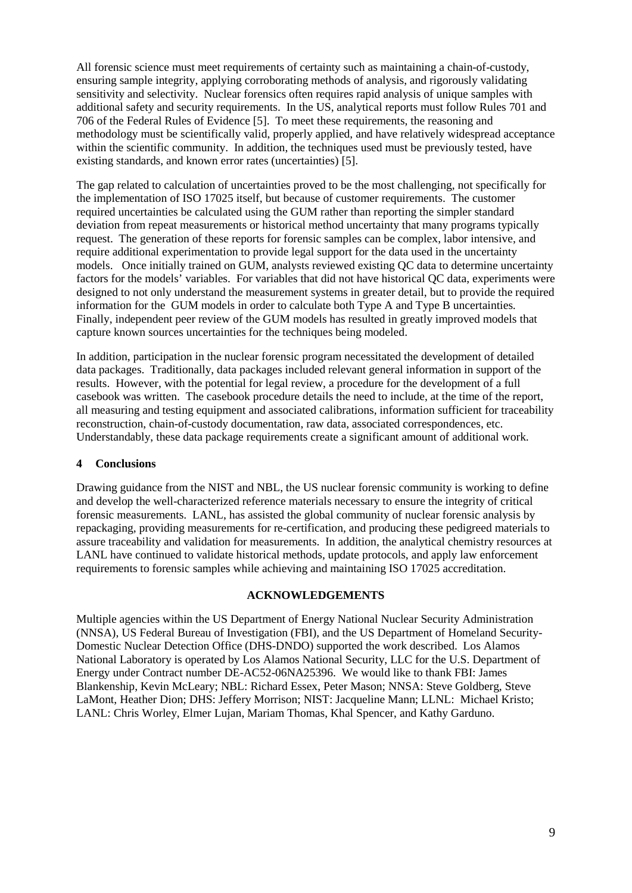All forensic science must meet requirements of certainty such as maintaining a chain-of-custody, ensuring sample integrity, applying corroborating methods of analysis, and rigorously validating sensitivity and selectivity. Nuclear forensics often requires rapid analysis of unique samples with additional safety and security requirements. In the US, analytical reports must follow Rules 701 and 706 of the Federal Rules of Evidence [5]. To meet these requirements, the reasoning and methodology must be scientifically valid, properly applied, and have relatively widespread acceptance within the scientific community. In addition, the techniques used must be previously tested, have existing standards, and known error rates (uncertainties) [5].

The gap related to calculation of uncertainties proved to be the most challenging, not specifically for the implementation of ISO 17025 itself, but because of customer requirements. The customer required uncertainties be calculated using the GUM rather than reporting the simpler standard deviation from repeat measurements or historical method uncertainty that many programs typically request. The generation of these reports for forensic samples can be complex, labor intensive, and require additional experimentation to provide legal support for the data used in the uncertainty models. Once initially trained on GUM, analysts reviewed existing QC data to determine uncertainty factors for the models' variables. For variables that did not have historical QC data, experiments were designed to not only understand the measurement systems in greater detail, but to provide the required information for the GUM models in order to calculate both Type A and Type B uncertainties. Finally, independent peer review of the GUM models has resulted in greatly improved models that capture known sources uncertainties for the techniques being modeled.

In addition, participation in the nuclear forensic program necessitated the development of detailed data packages. Traditionally, data packages included relevant general information in support of the results. However, with the potential for legal review, a procedure for the development of a full casebook was written. The casebook procedure details the need to include, at the time of the report, all measuring and testing equipment and associated calibrations, information sufficient for traceability reconstruction, chain-of-custody documentation, raw data, associated correspondences, etc. Understandably, these data package requirements create a significant amount of additional work.

### **4 Conclusions**

Drawing guidance from the NIST and NBL, the US nuclear forensic community is working to define and develop the well-characterized reference materials necessary to ensure the integrity of critical forensic measurements. LANL, has assisted the global community of nuclear forensic analysis by repackaging, providing measurements for re-certification, and producing these pedigreed materials to assure traceability and validation for measurements. In addition, the analytical chemistry resources at LANL have continued to validate historical methods, update protocols, and apply law enforcement requirements to forensic samples while achieving and maintaining ISO 17025 accreditation.

### **ACKNOWLEDGEMENTS**

Multiple agencies within the US Department of Energy National Nuclear Security Administration (NNSA), US Federal Bureau of Investigation (FBI), and the US Department of Homeland Security-Domestic Nuclear Detection Office (DHS-DNDO) supported the work described. Los Alamos National Laboratory is operated by Los Alamos National Security, LLC for the U.S. Department of Energy under Contract number DE-AC52-06NA25396. We would like to thank FBI: James Blankenship, Kevin McLeary; NBL: Richard Essex, Peter Mason; NNSA: Steve Goldberg, Steve LaMont, Heather Dion; DHS: Jeffery Morrison; NIST: Jacqueline Mann; LLNL: Michael Kristo; LANL: Chris Worley, Elmer Lujan, Mariam Thomas, Khal Spencer, and Kathy Garduno.